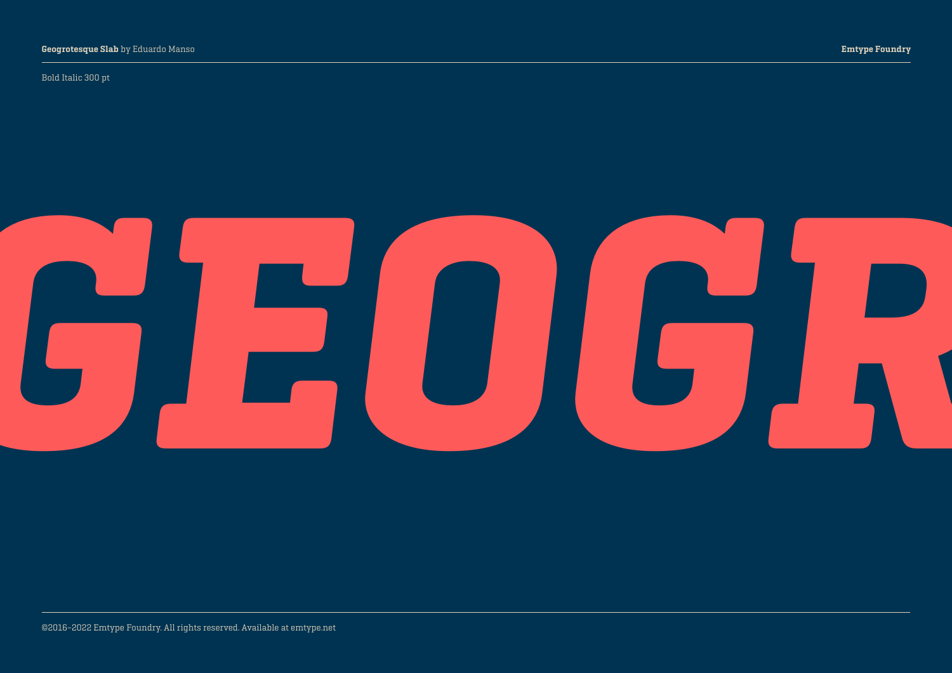#### Bold Italic 300 pt

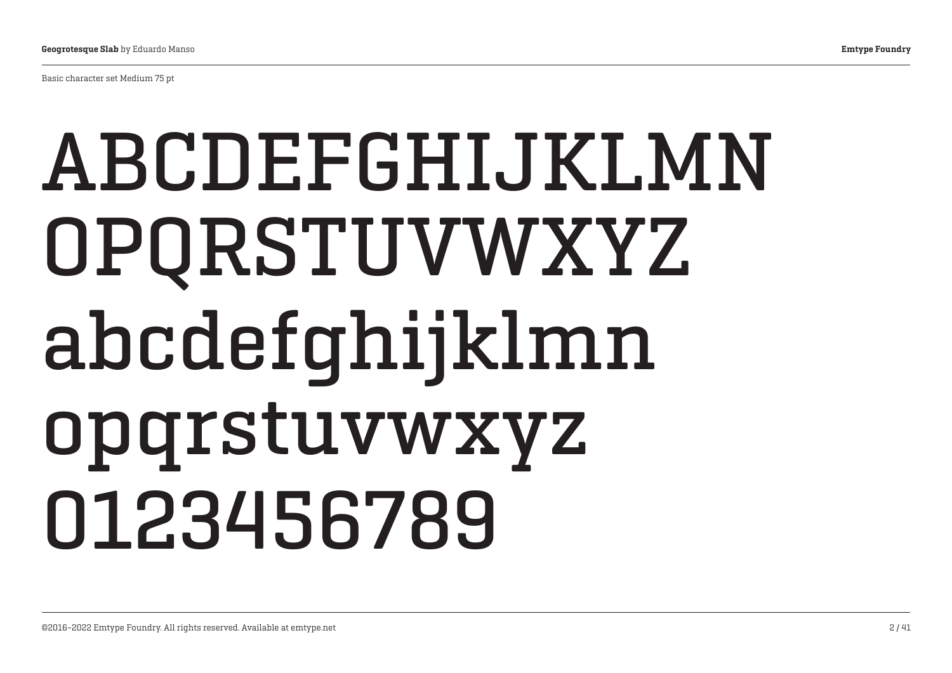Basic character set Medium 75 pt

## ABCDEFGHIJKLMN OPQRSTUVWXYZ abcdefghijklmn opqrstuvwxyz 0123456789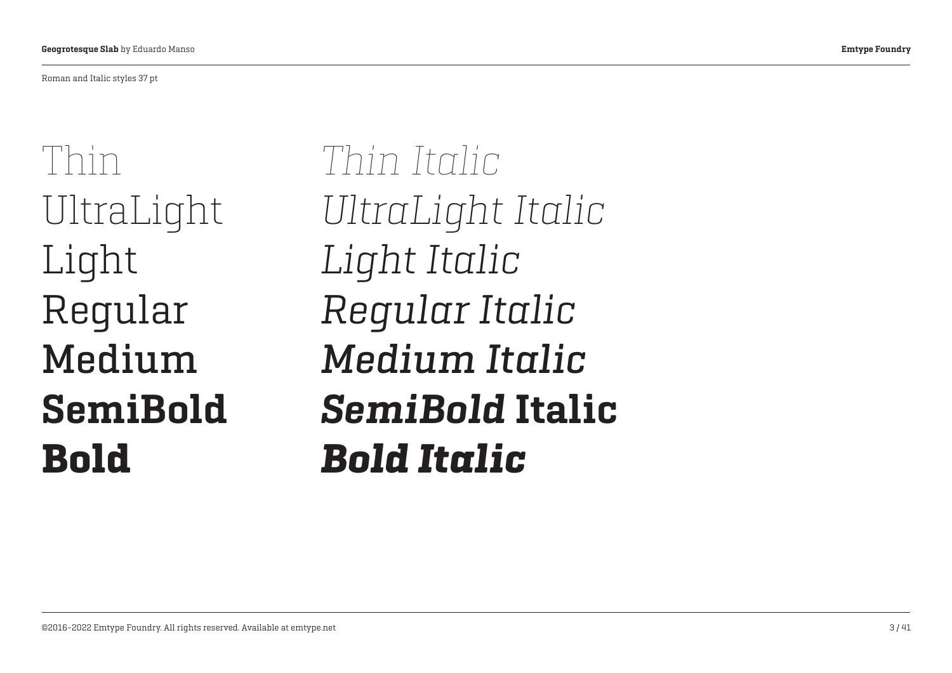Roman and Italic styles 37 pt

Thin UltraLight Light Regular Medium SemiBold Bold

*Thin Italic UltraLight Italic Light Italic Regular Italic Medium Italic SemiBold* Italic *Bold Italic*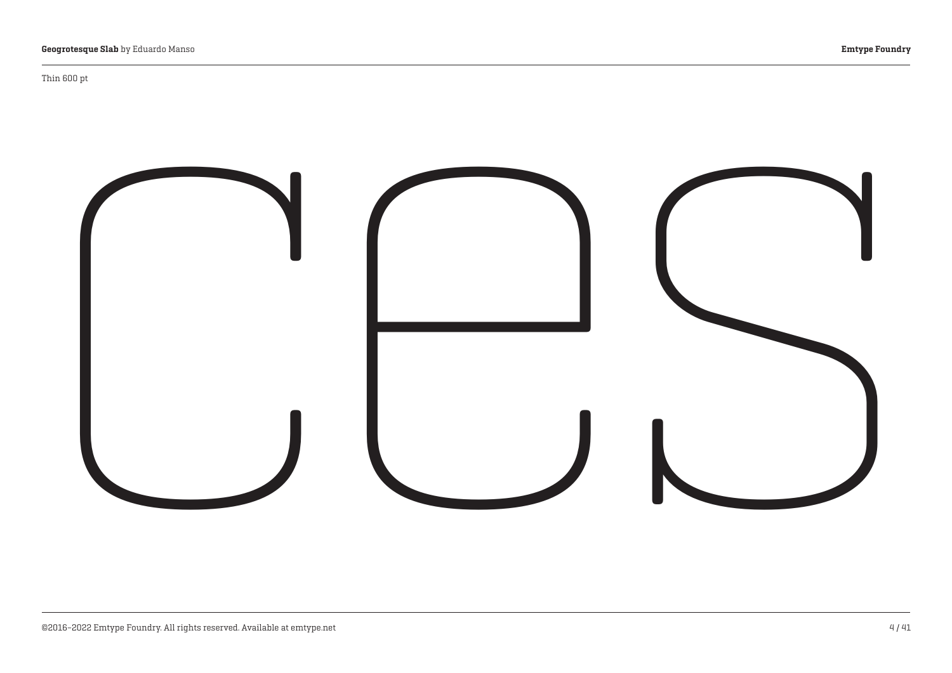#### Thin 600 pt

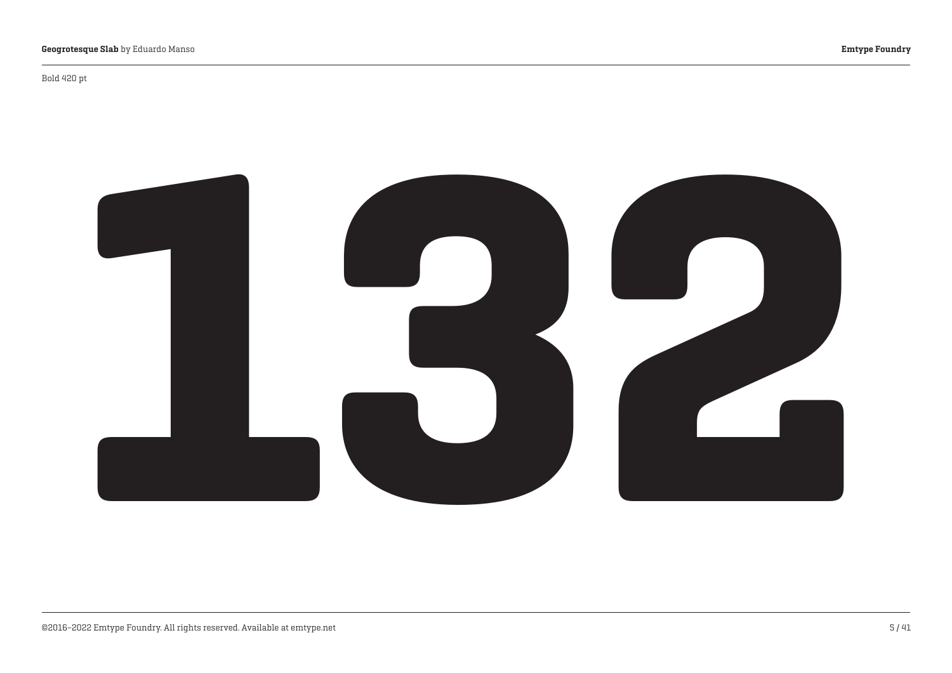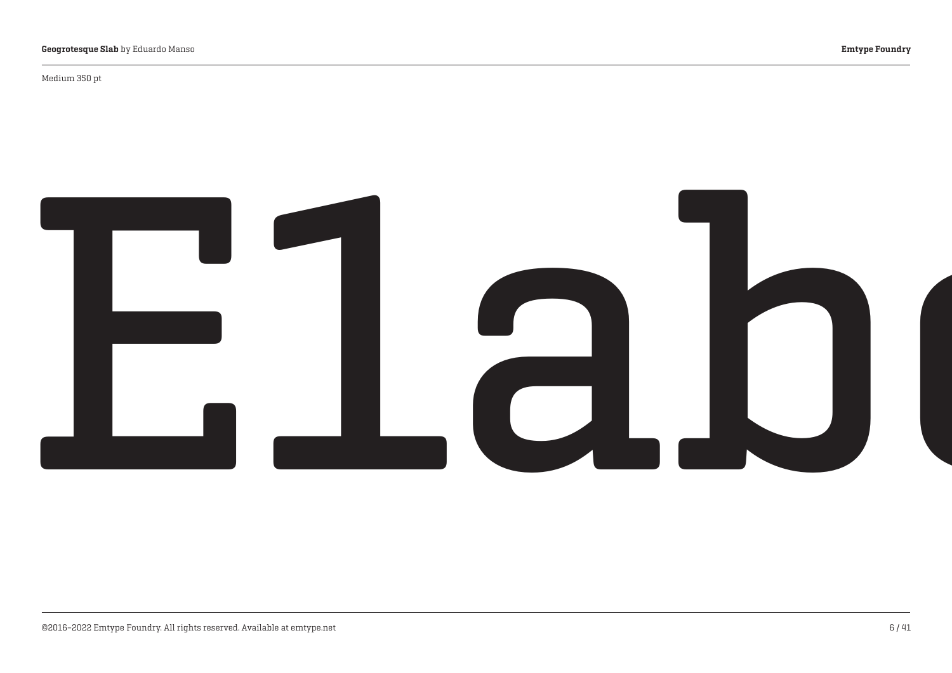Medium 350 pt

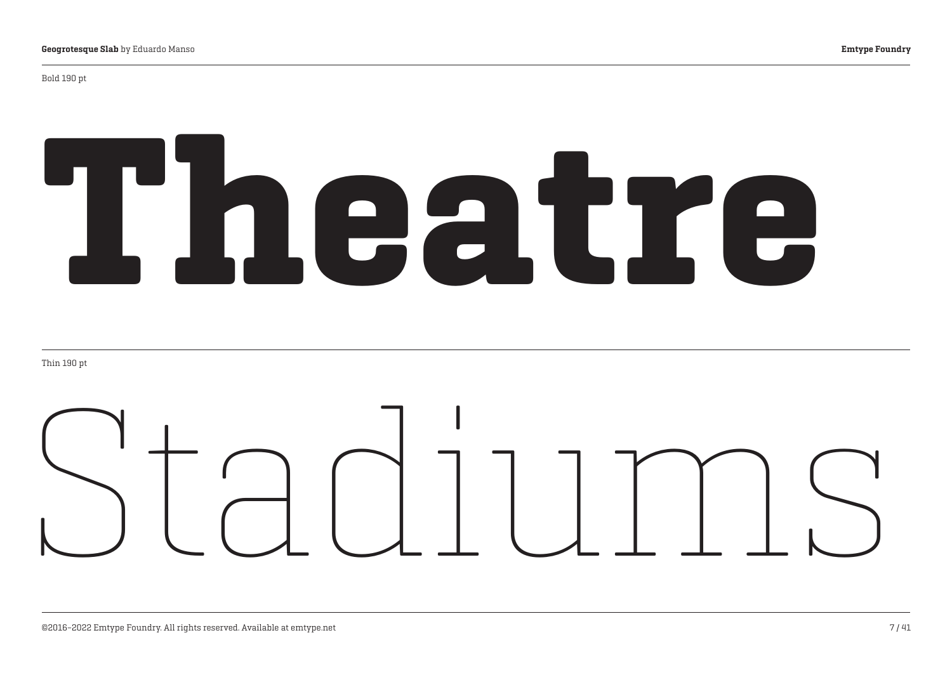#### Bold 190 pt

# Theatre

Thin 190 pt

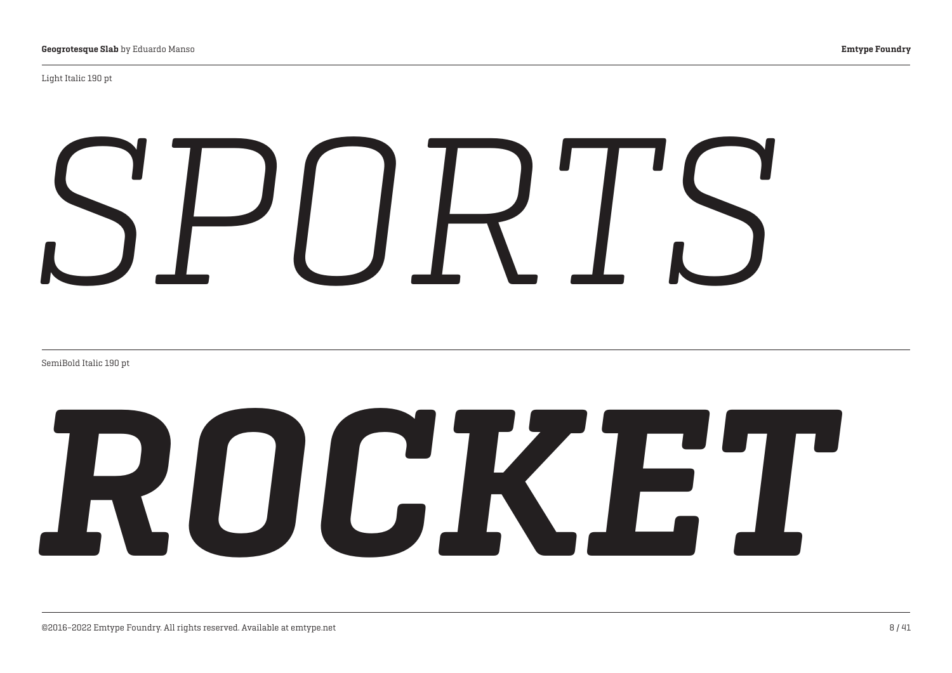Light Italic 190 pt

# *SPORTS*

SemiBold Italic 190 pt

# *ROCKET*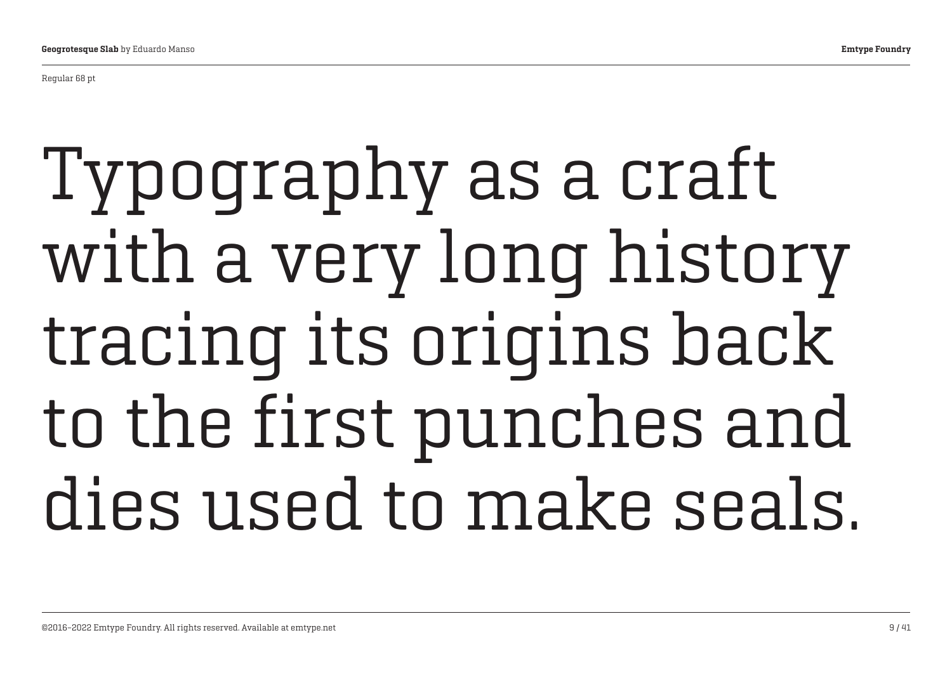Regular 68 pt

## Typography as a craft with a very long history tracing its origins back to the first punches and dies used to make seals.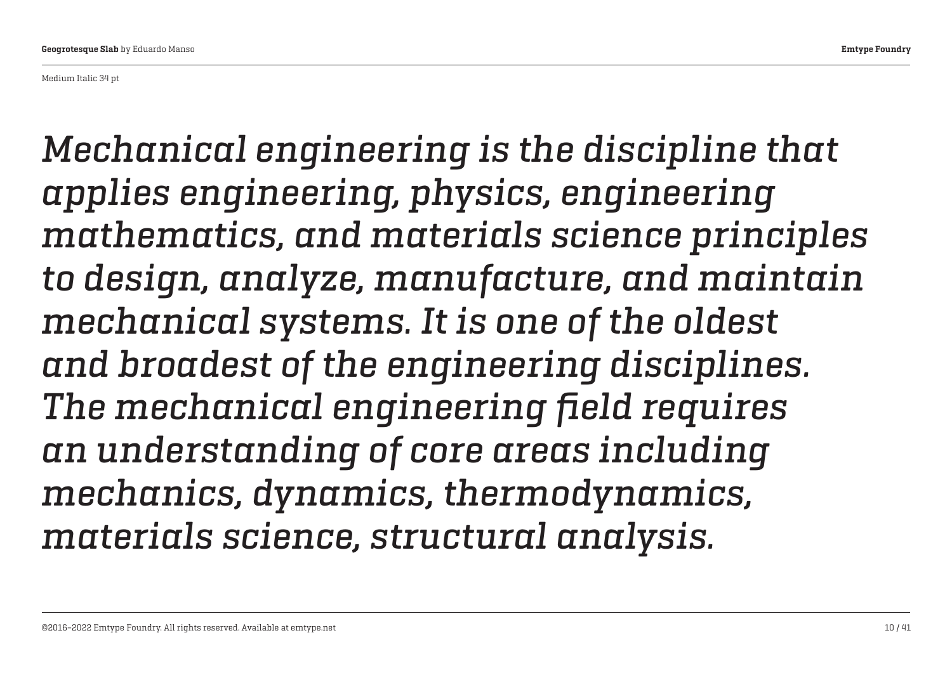Medium Italic 34 pt

*Mechanical engineering is the discipline that applies engineering, physics, engineering mathematics, and materials science principles to design, analyze, manufacture, and maintain mechanical systems. It is one of the oldest and broadest of the engineering disciplines. The mechanical engineering field requires an understanding of core areas including mechanics, dynamics, thermodynamics, materials science, structural analysis.*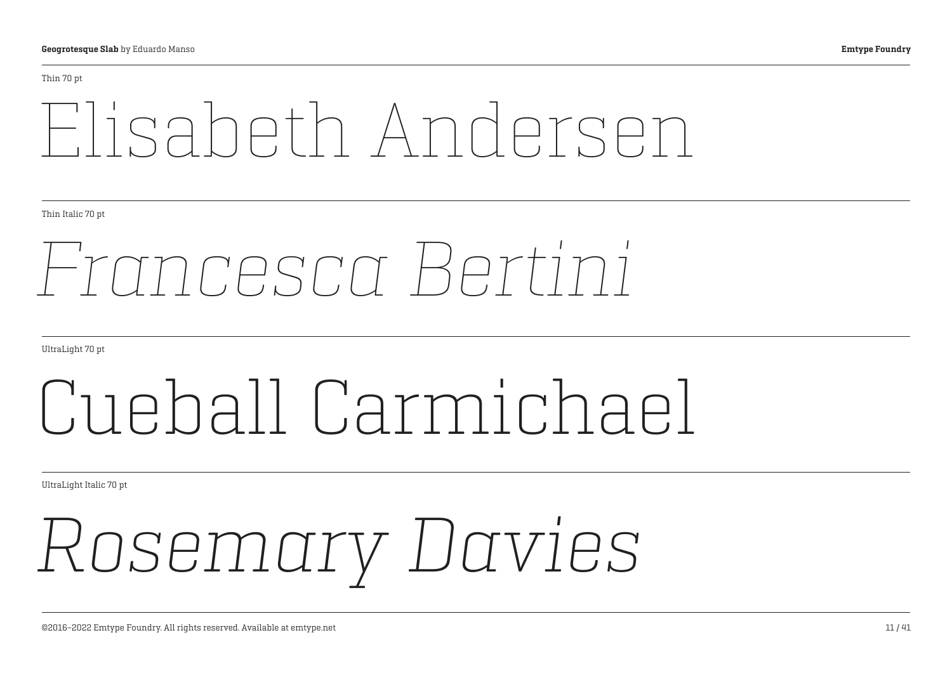#### Thin 70 pt

## Elisabeth Andersen

Thin Italic 70 pt

## *Francesca Bertini*

UltraLight 70 pt

## Cueball Carmichael

UltraLight Italic 70 pt

## *Rosemary Davies*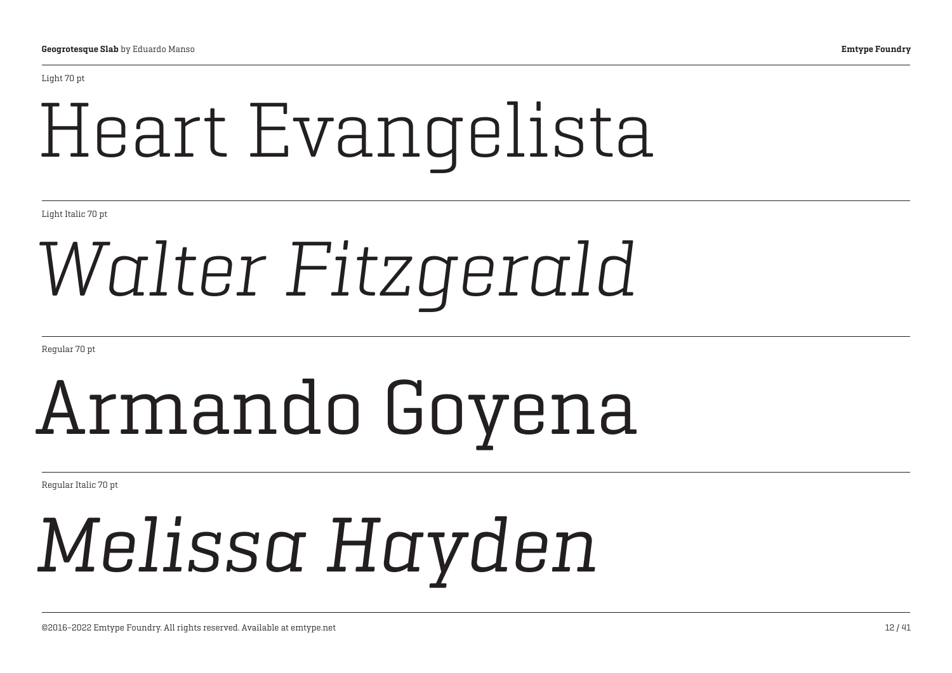Light 70 pt

## Heart Evangelista

Light Italic 70 pt

## *Walter Fitzgerald*

Regular 70 pt

## Armando Goyena

Regular Italic 70 pt

## *Melissa Hayden*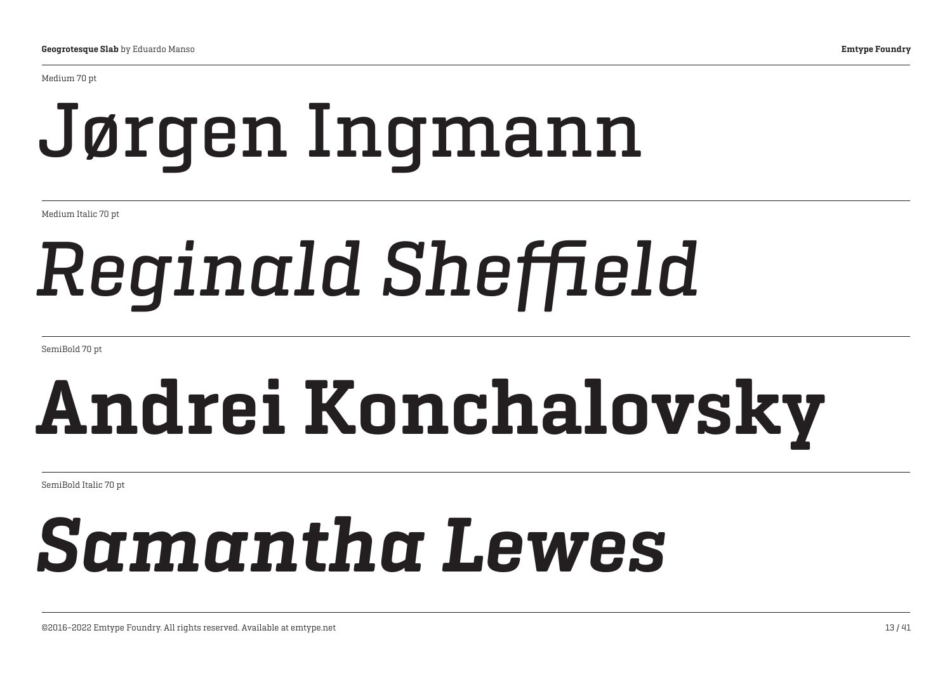Medium 70 pt

## Jørgen Ingmann

Medium Italic 70 pt

## *Reginald Sheffield*

SemiBold 70 pt

## Andrei Konchalovsky

SemiBold Italic 70 pt

## *Samantha Lewes*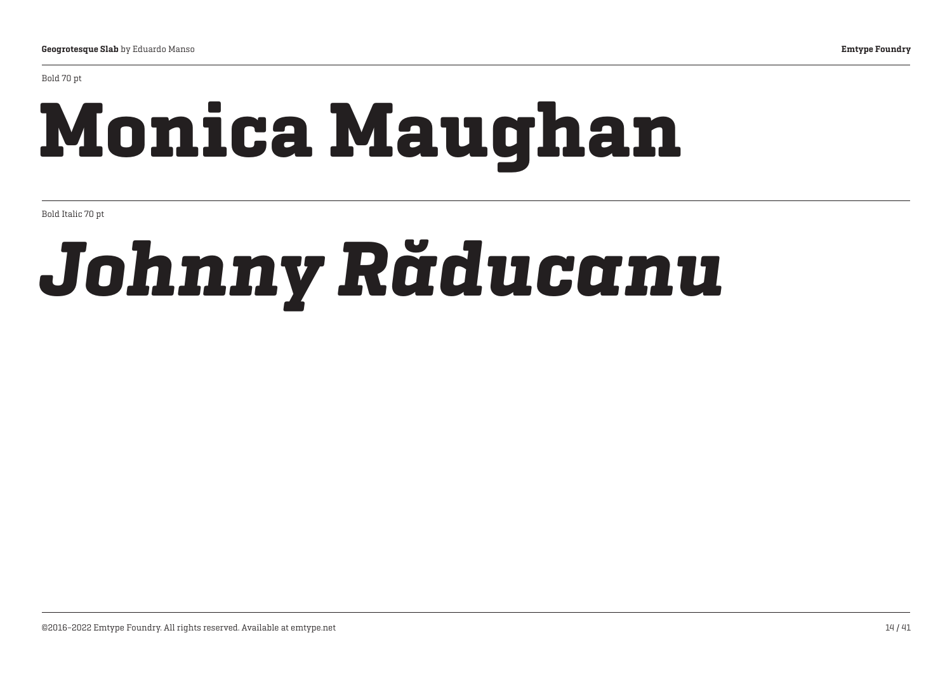#### Bold 70 pt

## Monica Maughan

Bold Italic 70 pt

## *Johnny Răducanu*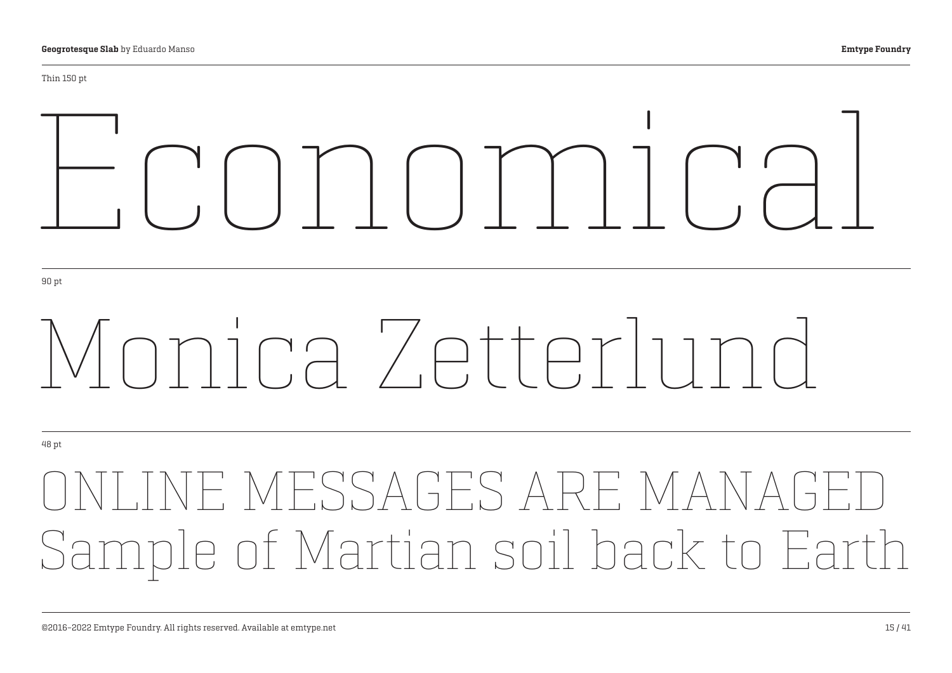# ECONOMIC

90 pt

## Monica Zetterlund

48 pt

## INE MESSAGES ARE MAN Sample of Martian soil back to Earth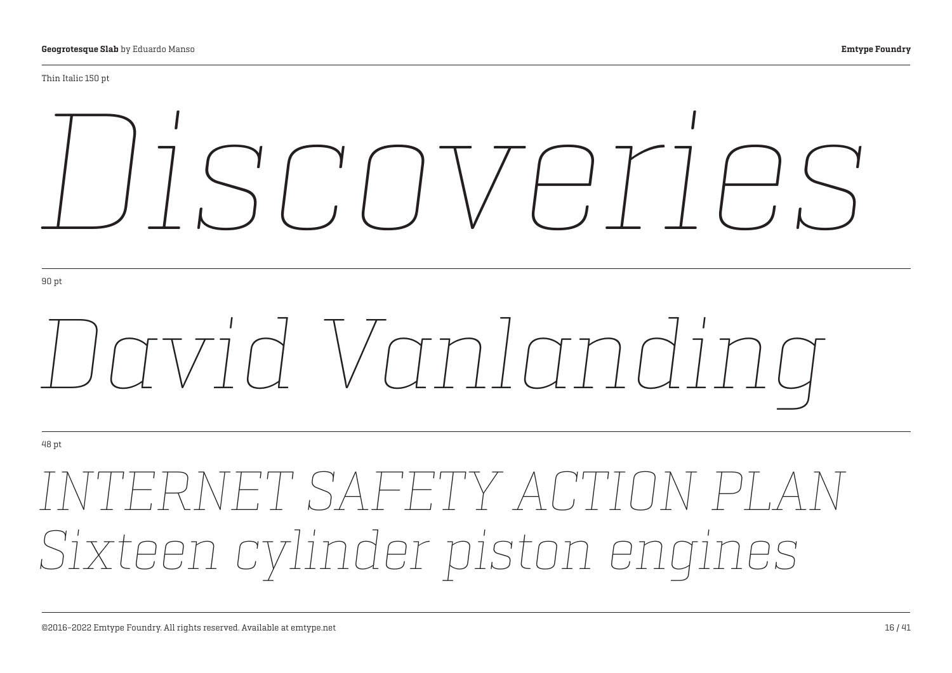#### Thin Italic 150 pt

# *Discoveries*

90 pt

# *David Vanlanding*

48 pt

## *INTERNET SAFETY ACTION PLAN Sixteen cylinder piston engines*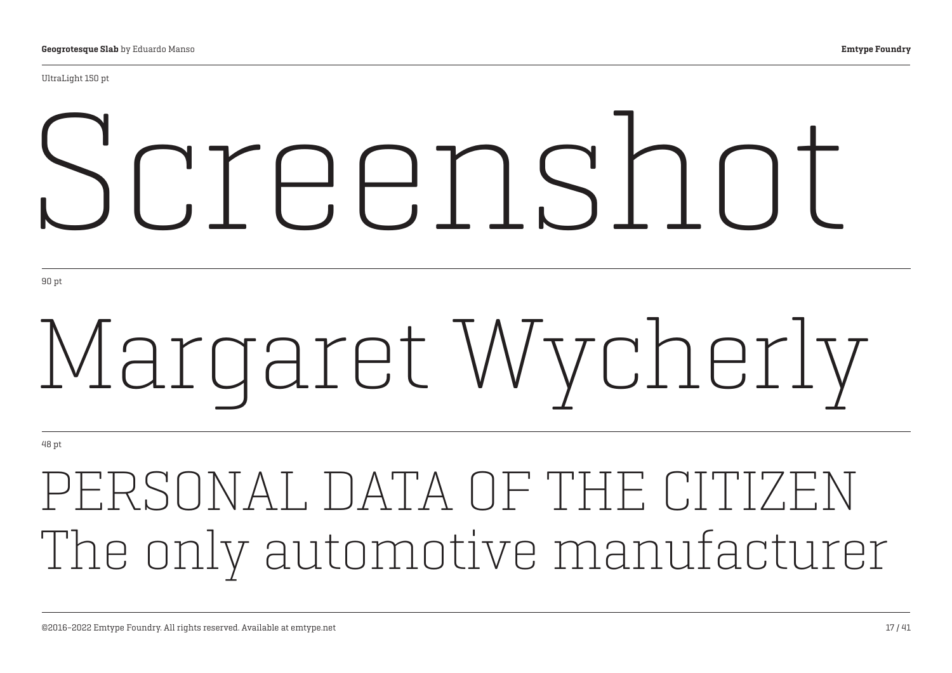UltraLight 150 pt

# Screenshot

90 pt

# Margaret Wycherly

48 pt

PERSONAL DATA OF THE CITIZEN The only automotive manufacturer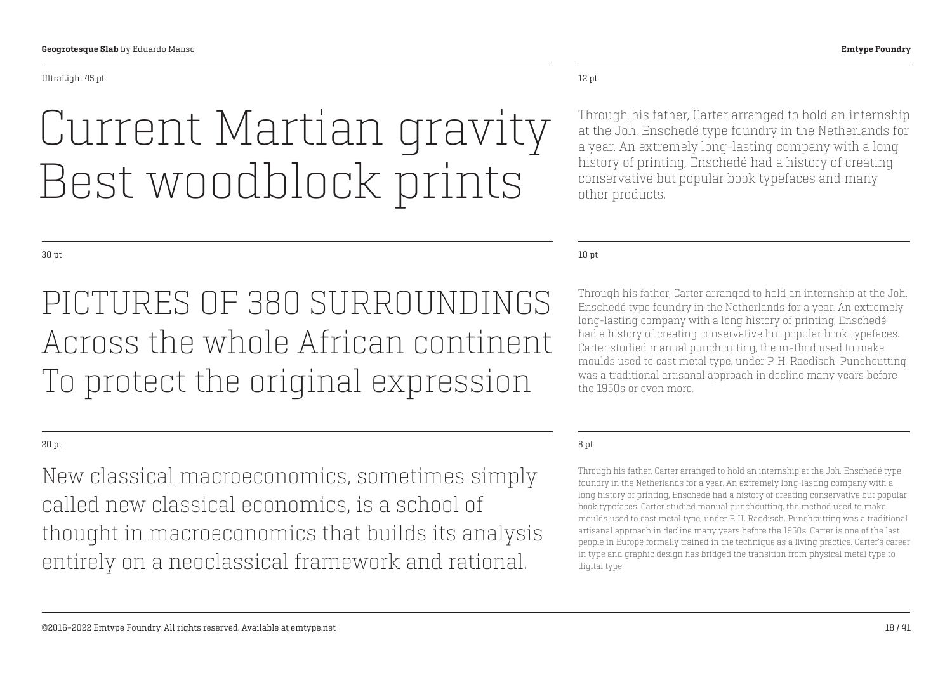#### UltraLight 45 pt

## Current Martian gravity Best woodblock prints

#### 30 pt

PICTURES OF 380 SURROUNDINGS Across the whole African continent To protect the original expression

### 20 pt

New classical macroeconomics, sometimes simply called new classical economics, is a school of thought in macroeconomics that builds its analysis entirely on a neoclassical framework and rational.

### 12 pt

Through his father, Carter arranged to hold an internship at the Joh. Enschedé type foundry in the Netherlands for a year. An extremely long-lasting company with a long history of printing, Enschedé had a history of creating conservative but popular book typefaces and many other products.

#### 10 pt

Through his father, Carter arranged to hold an internship at the Joh. Enschedé type foundry in the Netherlands for a year. An extremely long-lasting company with a long history of printing, Enschedé had a history of creating conservative but popular book typefaces. Carter studied manual punchcutting, the method used to make moulds used to cast metal type, under P. H. Raedisch. Punchcutting was a traditional artisanal approach in decline many years before the 1950s or even more.

#### 8 pt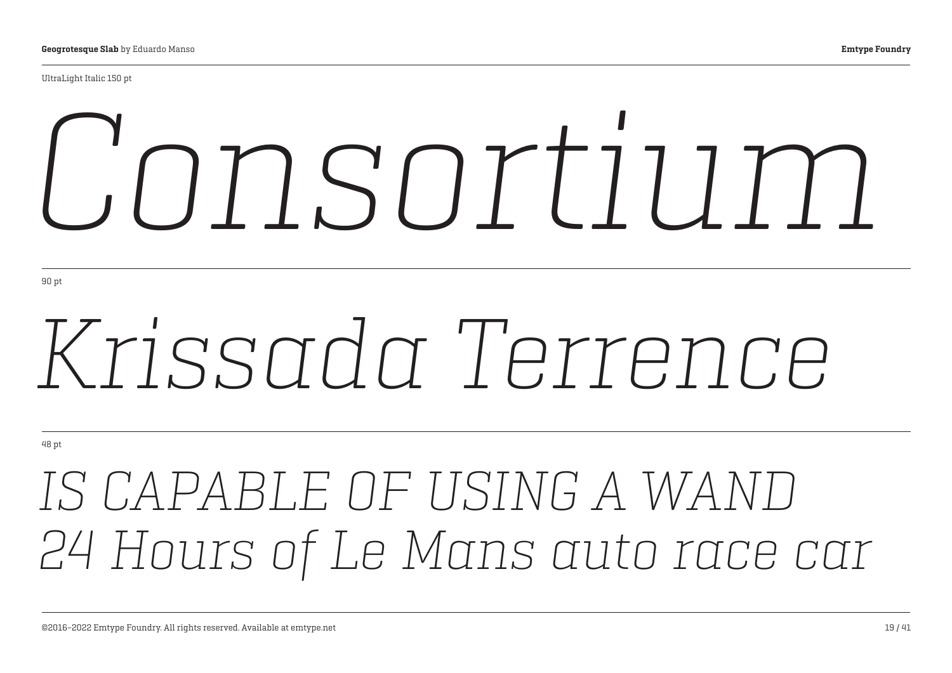UltraLight Italic 150 pt

# *Consortium*

90 pt

## *Krissada Terrence*

48 pt

## *IS CAPABLE OF USING A WAND 24 Hours of Le Mans auto race car*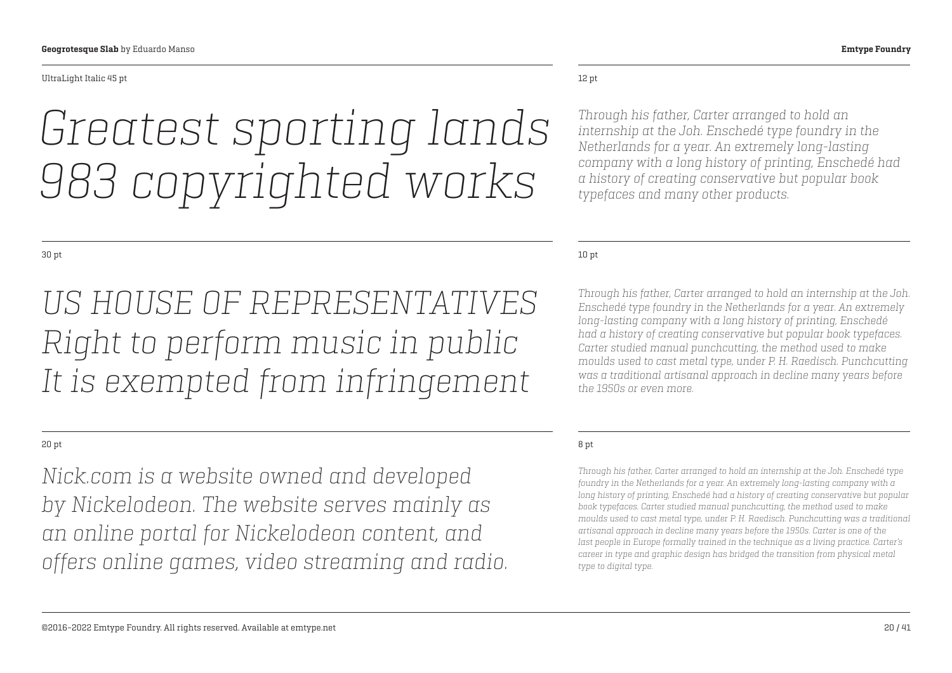#### UltraLight Italic 45 pt

## *Greatest sporting lands 983 copyrighted works*

#### 30 pt

*US HOUSE OF REPRESENTATIVES Right to perform music in public It is exempted from infringement*

### 20 pt

*Nick.com is a website owned and developed by Nickelodeon. The website serves mainly as an online portal for Nickelodeon content, and offers online games, video streaming and radio.* 

#### 12 pt

*Through his father, Carter arranged to hold an internship at the Joh. Enschedé type foundry in the Netherlands for a year. An extremely long-lasting company with a long history of printing, Enschedé had a history of creating conservative but popular book typefaces and many other products.*

#### 10 pt

*Through his father, Carter arranged to hold an internship at the Joh. Enschedé type foundry in the Netherlands for a year. An extremely long-lasting company with a long history of printing, Enschedé had a history of creating conservative but popular book typefaces. Carter studied manual punchcutting, the method used to make moulds used to cast metal type, under P. H. Raedisch. Punchcutting was a traditional artisanal approach in decline many years before the 1950s or even more.*

#### 8 pt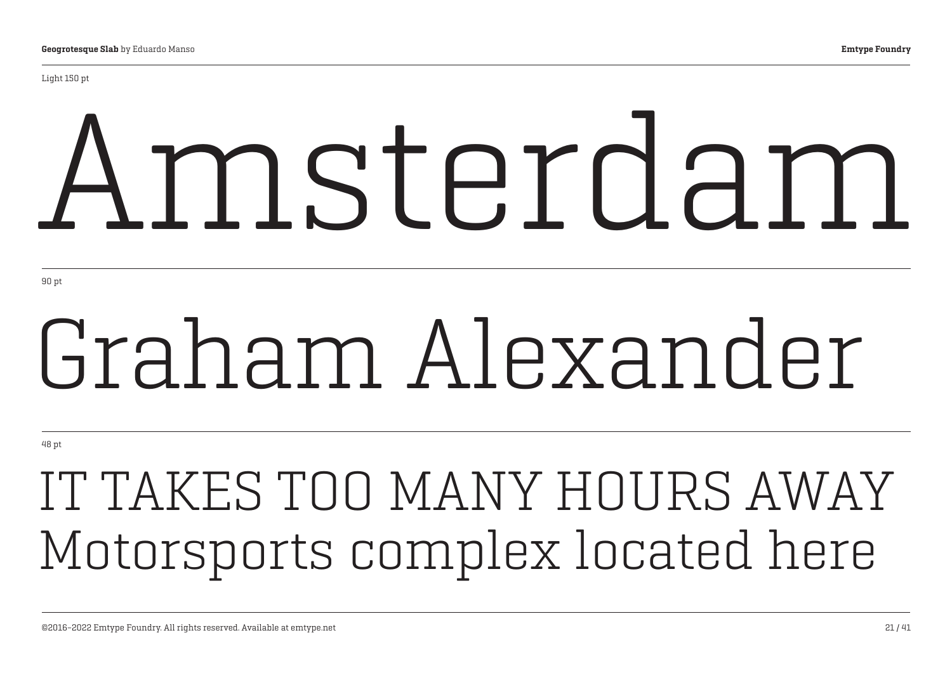Light 150 pt

# Amsterdam

90 pt

## Graham Alexander

48 pt

## IT TAKES TOO MANY HOURS AWAY Motorsports complex located here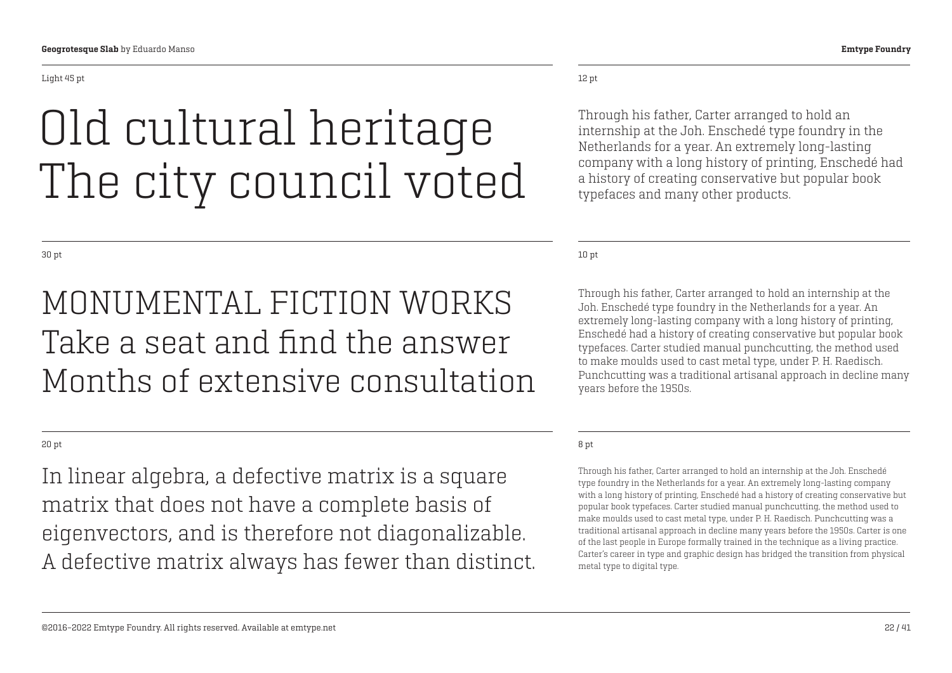## Old cultural heritage The city council voted

30 pt

### MONUMENTAL FICTION WORKS Take a seat and find the answer Months of extensive consultation

20 pt

In linear algebra, a defective matrix is a square matrix that does not have a complete basis of eigenvectors, and is therefore not diagonalizable. A defective matrix always has fewer than distinct.

### 12 pt

Through his father, Carter arranged to hold an internship at the Joh. Enschedé type foundry in the Netherlands for a year. An extremely long-lasting company with a long history of printing, Enschedé had a history of creating conservative but popular book typefaces and many other products.

10 pt

Through his father, Carter arranged to hold an internship at the Joh. Enschedé type foundry in the Netherlands for a year. An extremely long-lasting company with a long history of printing, Enschedé had a history of creating conservative but popular book typefaces. Carter studied manual punchcutting, the method used to make moulds used to cast metal type, under P. H. Raedisch. Punchcutting was a traditional artisanal approach in decline many years before the 1950s.

#### 8 pt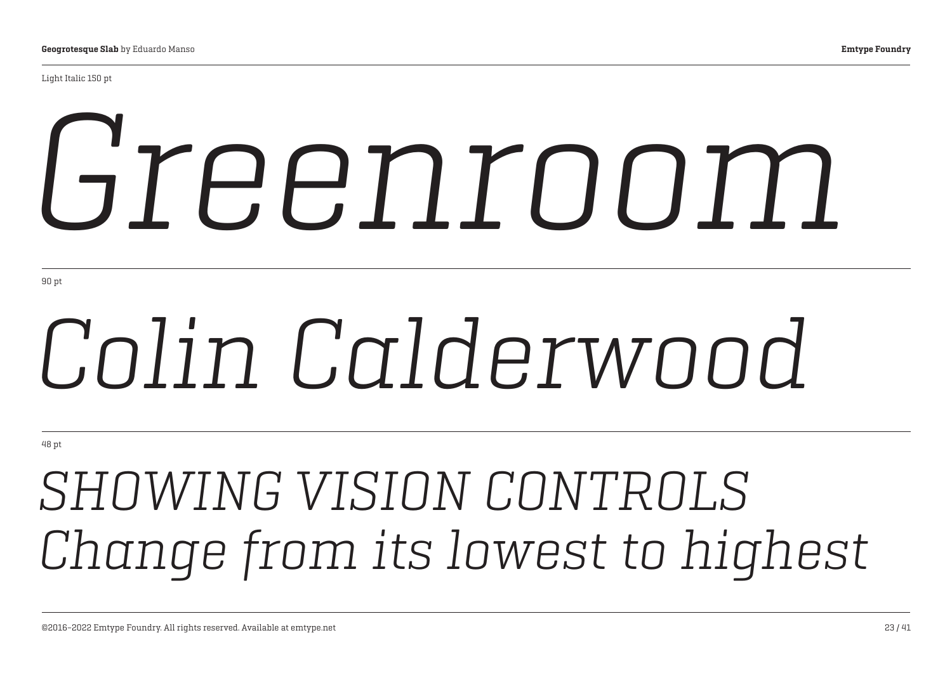Light Italic 150 pt

# *Greenroom*

90 pt

# *Colin Calderwood*

48 pt

## *SHOWING VISION CONTROLS Change from its lowest to highest*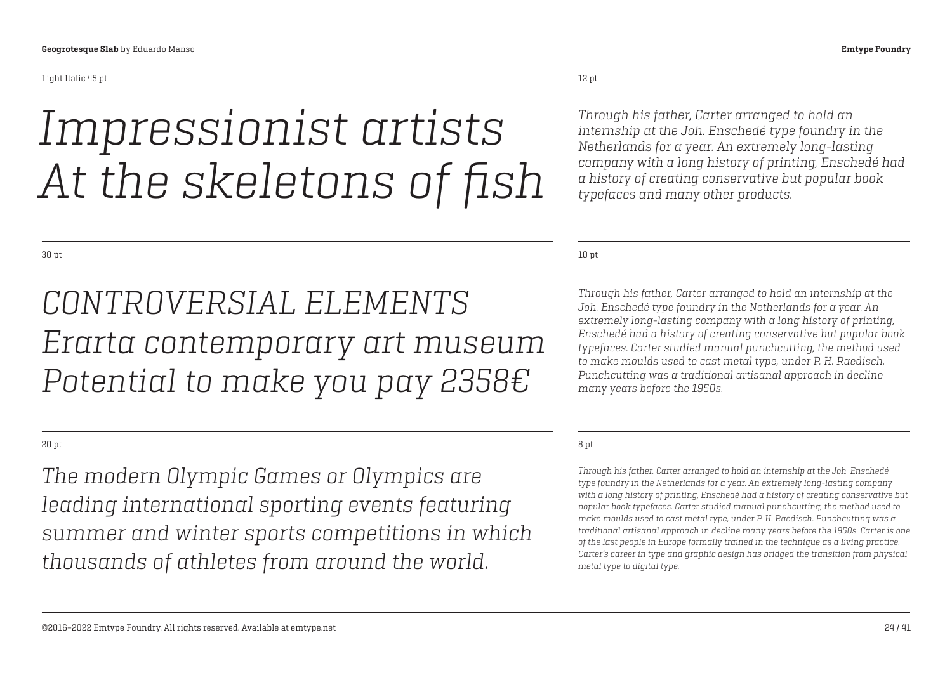Light Italic 45 pt

## *Impressionist artists At the skeletons of fish*

30 pt

### *CONTROVERSIAL ELEMENTS Erarta contemporary art museum Potential to make you pay 2358€*

20 pt

*The modern Olympic Games or Olympics are leading international sporting events featuring summer and winter sports competitions in which thousands of athletes from around the world.* 

12 pt

*Through his father, Carter arranged to hold an internship at the Joh. Enschedé type foundry in the Netherlands for a year. An extremely long-lasting company with a long history of printing, Enschedé had a history of creating conservative but popular book typefaces and many other products.*

10 pt

*Through his father, Carter arranged to hold an internship at the Joh. Enschedé type foundry in the Netherlands for a year. An extremely long-lasting company with a long history of printing, Enschedé had a history of creating conservative but popular book typefaces. Carter studied manual punchcutting, the method used to make moulds used to cast metal type, under P. H. Raedisch. Punchcutting was a traditional artisanal approach in decline many years before the 1950s.*

### 8 pt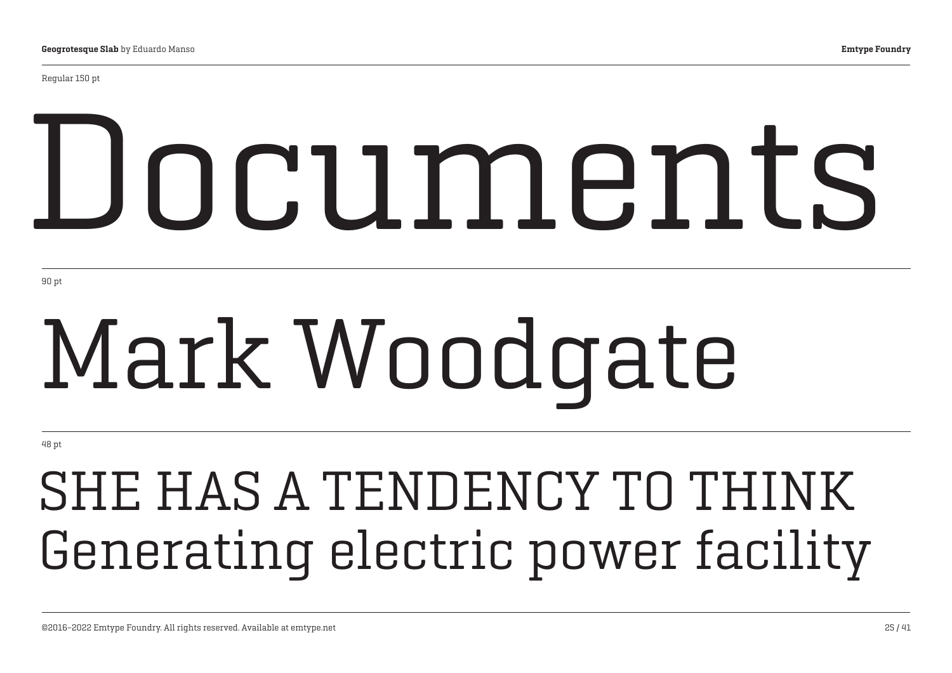Regular 150 pt

# Documents

90 pt

# Mark Woodgate

48 pt

## SHE HAS A TENDENCY TO THINK Generating electric power facility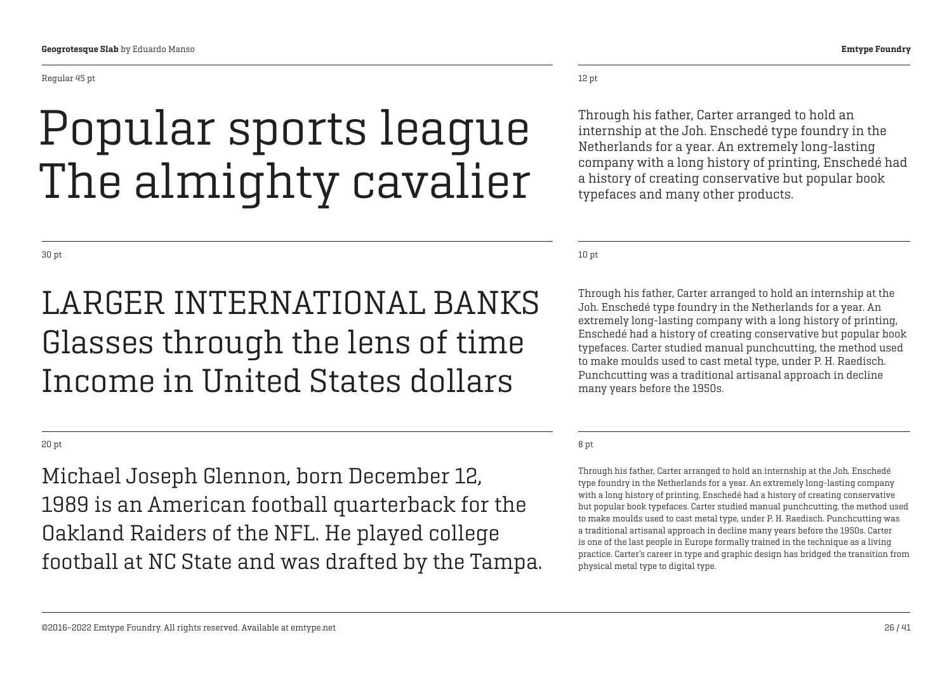#### Regular 45 pt

## Popular sports league The almighty cavalier

30 pt

### LARGER INTERNATIONAL BANKS Glasses through the lens of time Income in United States dollars

20 pt

Michael Joseph Glennon, born December 12, 1989 is an American football quarterback for the Oakland Raiders of the NFL. He played college football at NC State and was drafted by the Tampa.

### 12 pt

Through his father, Carter arranged to hold an internship at the Joh. Enschedé type foundry in the Netherlands for a year. An extremely long-lasting company with a long history of printing, Enschedé had a history of creating conservative but popular book typefaces and many other products.

10 pt

Through his father, Carter arranged to hold an internship at the Joh. Enschedé type foundry in the Netherlands for a year. An extremely long-lasting company with a long history of printing, Enschedé had a history of creating conservative but popular book typefaces. Carter studied manual punchcutting, the method used to make moulds used to cast metal type, under P. H. Raedisch. Punchcutting was a traditional artisanal approach in decline many years before the 1950s.

### 8 pt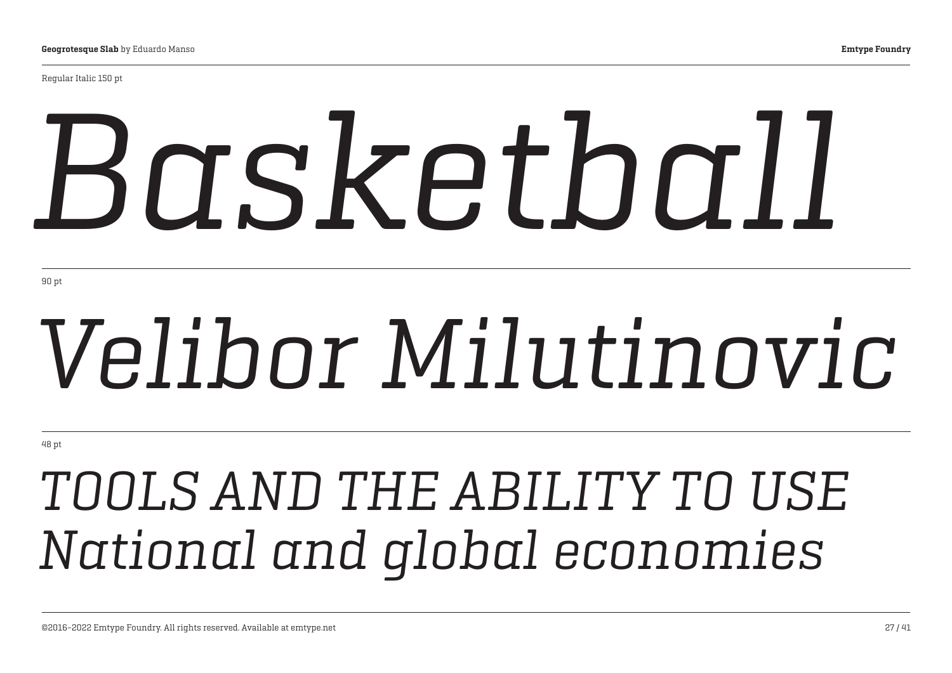Regular Italic 150 pt

# *Basketball*

90 pt

# *Velibor Milutinovic*

48 pt

## *TOOLS AND THE ABILITY TO USE National and global economies*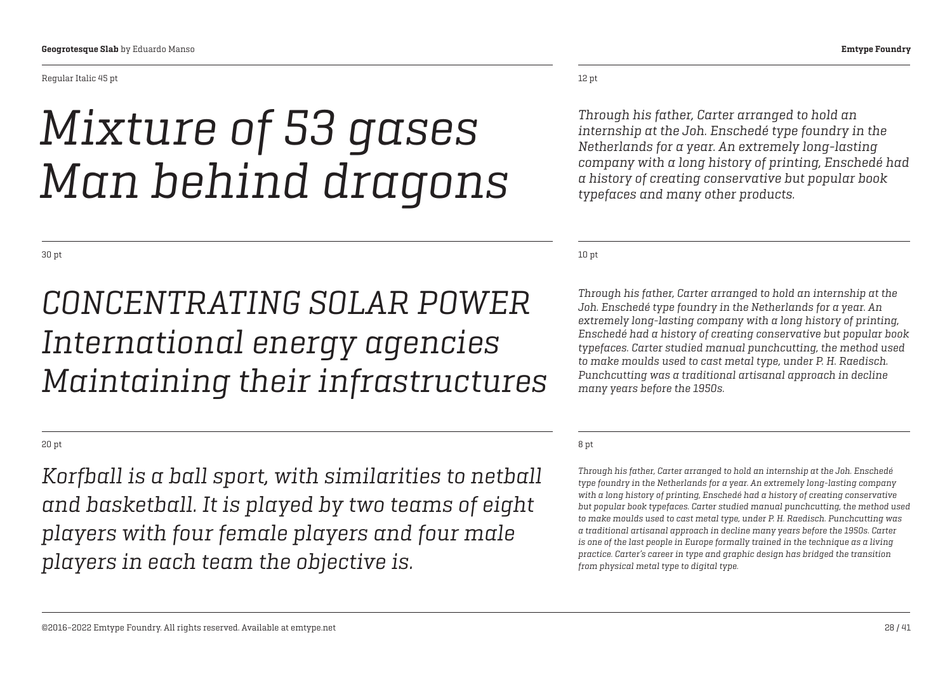Regular Italic 45 pt

## *Mixture of 53 gases Man behind dragons*

30 pt

### *CONCENTRATING SOLAR POWER International energy agencies Maintaining their infrastructures*

20 pt

*Korfball is a ball sport, with similarities to netball and basketball. It is played by two teams of eight players with four female players and four male players in each team the objective is.*

12 pt

*Through his father, Carter arranged to hold an internship at the Joh. Enschedé type foundry in the Netherlands for a year. An extremely long-lasting company with a long history of printing, Enschedé had a history of creating conservative but popular book typefaces and many other products.*

10 pt

*Through his father, Carter arranged to hold an internship at the Joh. Enschedé type foundry in the Netherlands for a year. An extremely long-lasting company with a long history of printing, Enschedé had a history of creating conservative but popular book typefaces. Carter studied manual punchcutting, the method used to make moulds used to cast metal type, under P. H. Raedisch. Punchcutting was a traditional artisanal approach in decline many years before the 1950s.*

#### 8 pt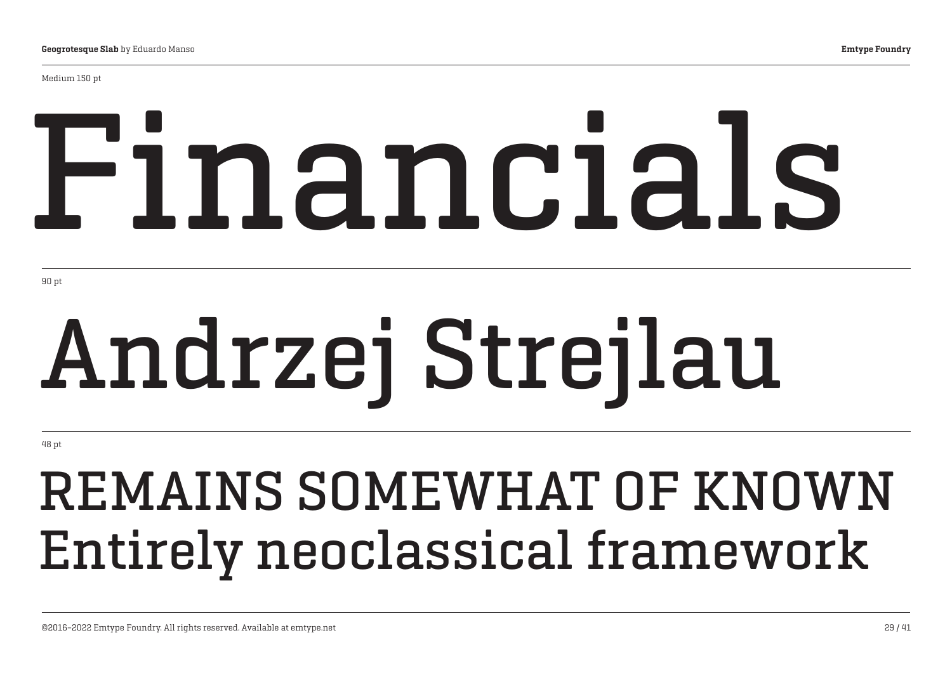Medium 150 pt

# Financials

90 pt

# Andrzej Strejlau

48 pt

## REMAINS SOMEWHAT OF KNOWN Entirely neoclassical framework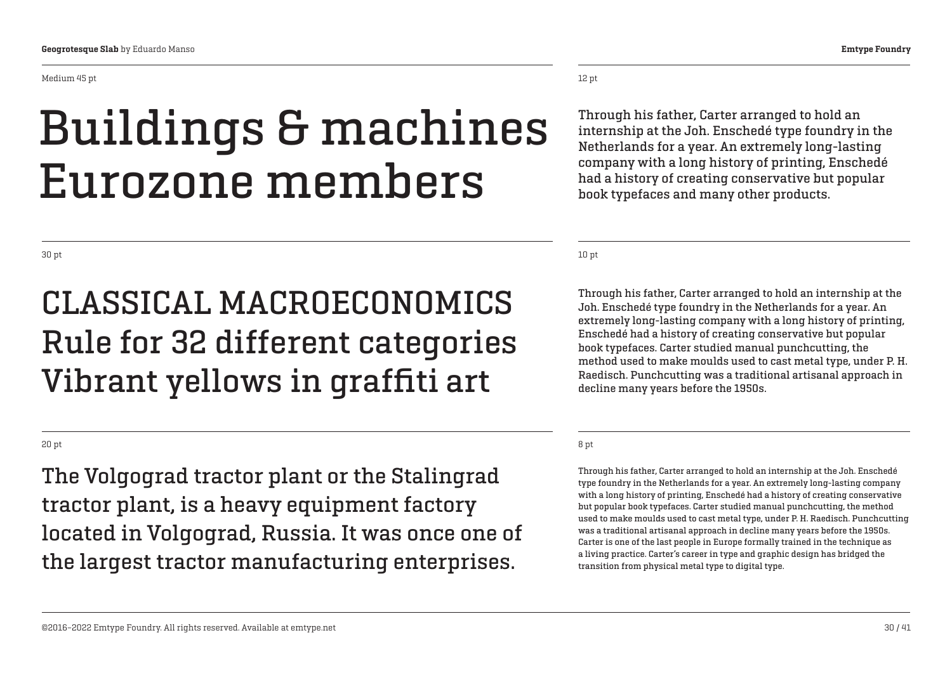Medium 45 pt

## Buildings & machines Eurozone members

### CLASSICAL MACROECONOMICS Rule for 32 different categories Vibrant yellows in graffiti art

20 pt

The Volgograd tractor plant or the Stalingrad tractor plant, is a heavy equipment factory located in Volgograd, Russia. It was once one of the largest tractor manufacturing enterprises.

12 pt

Through his father, Carter arranged to hold an internship at the Joh. Enschedé type foundry in the Netherlands for a year. An extremely long-lasting company with a long history of printing, Enschedé had a history of creating conservative but popular book typefaces and many other products.

10 pt

Through his father, Carter arranged to hold an internship at the Joh. Enschedé type foundry in the Netherlands for a year. An extremely long-lasting company with a long history of printing, Enschedé had a history of creating conservative but popular book typefaces. Carter studied manual punchcutting, the method used to make moulds used to cast metal type, under P. H. Raedisch. Punchcutting was a traditional artisanal approach in decline many years before the 1950s.

#### 8 pt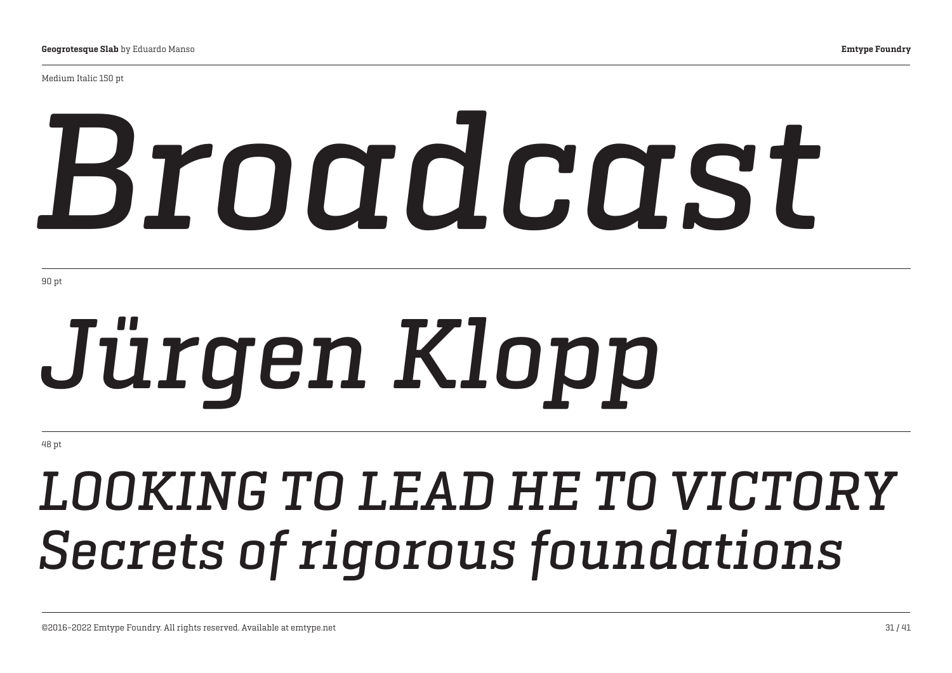Medium Italic 150 pt

# *Broadcast*

90 pt

# *Jürgen Klopp*

48 pt

## *LOOKING TO LEAD HE TO VICTORY Secrets of rigorous foundations*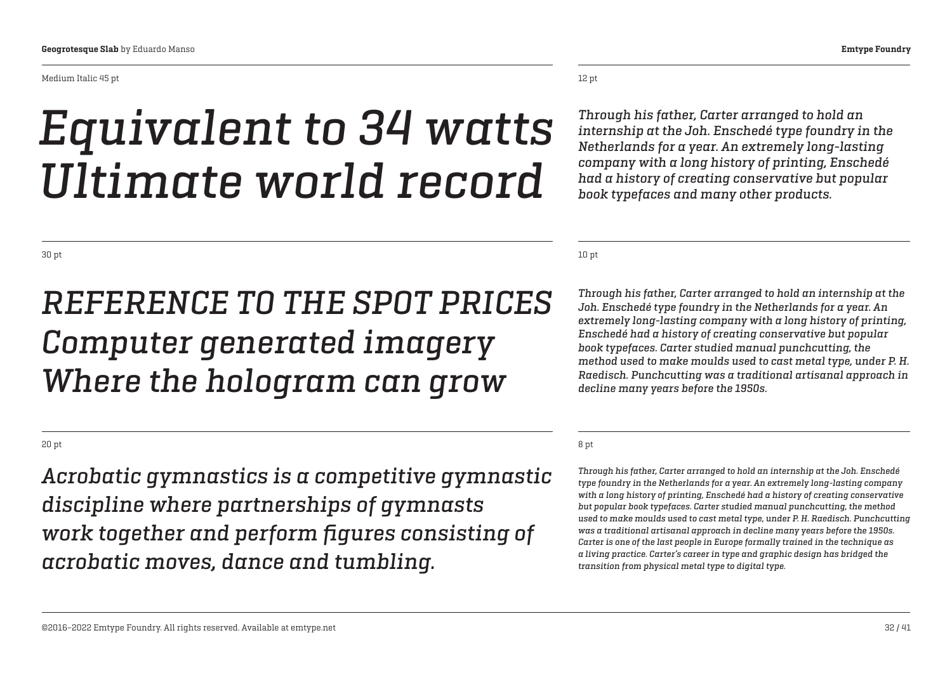#### Medium Italic 45 pt

## *Equivalent to 34 watts Ultimate world record*

12 pt

*Through his father, Carter arranged to hold an internship at the Joh. Enschedé type foundry in the Netherlands for a year. An extremely long-lasting company with a long history of printing, Enschedé had a history of creating conservative but popular book typefaces and many other products.*

10 pt

*Through his father, Carter arranged to hold an internship at the Joh. Enschedé type foundry in the Netherlands for a year. An extremely long-lasting company with a long history of printing, Enschedé had a history of creating conservative but popular book typefaces. Carter studied manual punchcutting, the method used to make moulds used to cast metal type, under P. H. Raedisch. Punchcutting was a traditional artisanal approach in decline many years before the 1950s.*

#### 8 pt

*Through his father, Carter arranged to hold an internship at the Joh. Enschedé type foundry in the Netherlands for a year. An extremely long-lasting company with a long history of printing, Enschedé had a history of creating conservative but popular book typefaces. Carter studied manual punchcutting, the method used to make moulds used to cast metal type, under P. H. Raedisch. Punchcutting was a traditional artisanal approach in decline many years before the 1950s. Carter is one of the last people in Europe formally trained in the technique as a living practice. Carter's career in type and graphic design has bridged the transition from physical metal type to digital type.*

30 pt

### *REFERENCE TO THE SPOT PRICES Computer generated imagery Where the hologram can grow*

20 pt

*Acrobatic gymnastics is a competitive gymnastic discipline where partnerships of gymnasts work together and perform figures consisting of acrobatic moves, dance and tumbling.*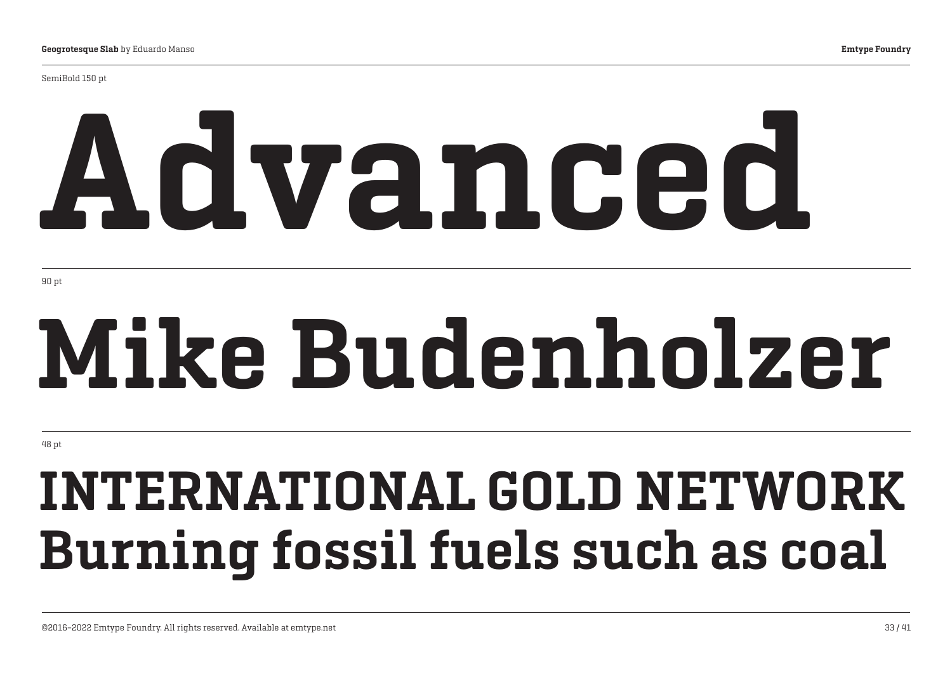SemiBold 150 pt

# Advanced

90 pt

# Mike Budenholzer

48 pt

## INTERNATIONAL GOLD NETWORK Burning fossil fuels such as coal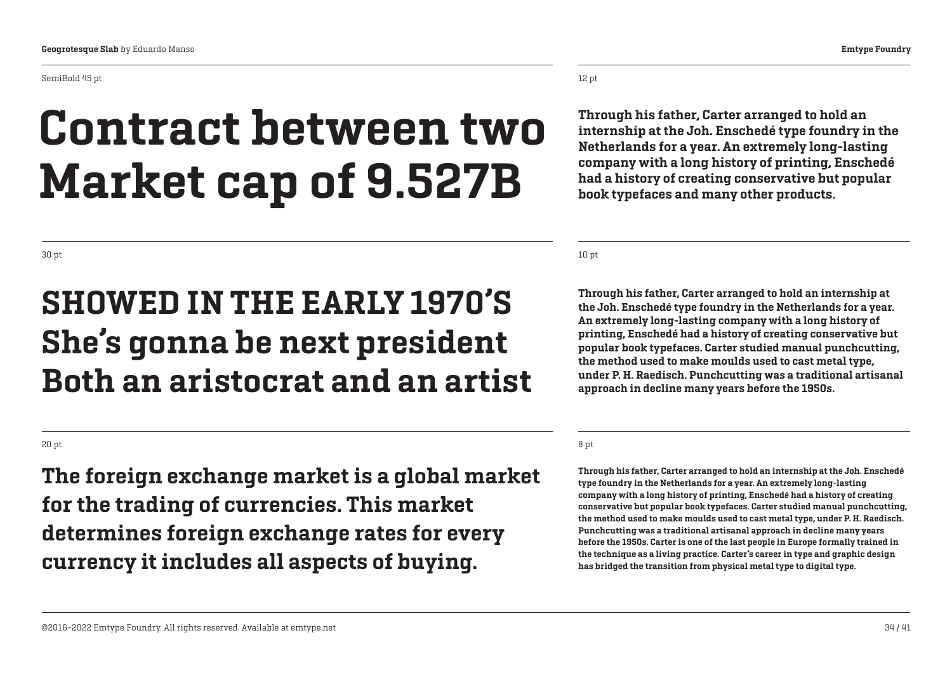## Contract between two Market cap of 9.527B

30 pt

### SHOWED IN THE EARLY 1970'S She's gonna be next president Both an aristocrat and an artist

20 pt

The foreign exchange market is a global market for the trading of currencies. This market determines foreign exchange rates for every currency it includes all aspects of buying.

12 pt

Through his father, Carter arranged to hold an internship at the Joh. Enschedé type foundry in the Netherlands for a year. An extremely long-lasting company with a long history of printing, Enschedé had a history of creating conservative but popular book typefaces and many other products.

10 pt

Through his father, Carter arranged to hold an internship at the Joh. Enschedé type foundry in the Netherlands for a year. An extremely long-lasting company with a long history of printing, Enschedé had a history of creating conservative but popular book typefaces. Carter studied manual punchcutting, the method used to make moulds used to cast metal type, under P. H. Raedisch. Punchcutting was a traditional artisanal approach in decline many years before the 1950s.

#### 8 pt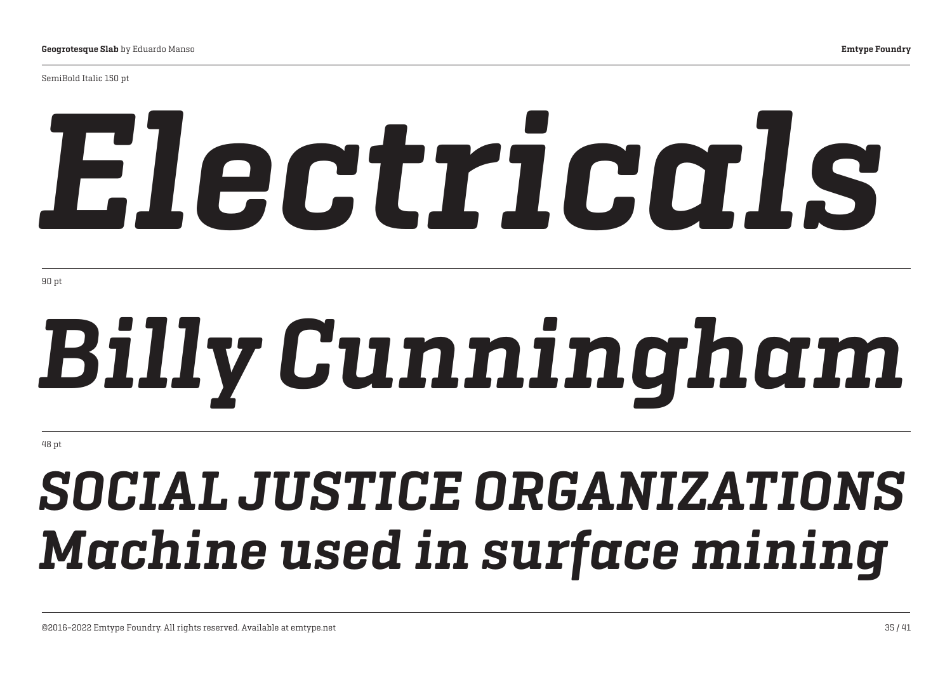SemiBold Italic 150 pt

# *Electricals*

90 pt

# *Billy Cunningham*

48 pt

## *SOCIAL JUSTICE ORGANIZATIONS Machine used in surface mining*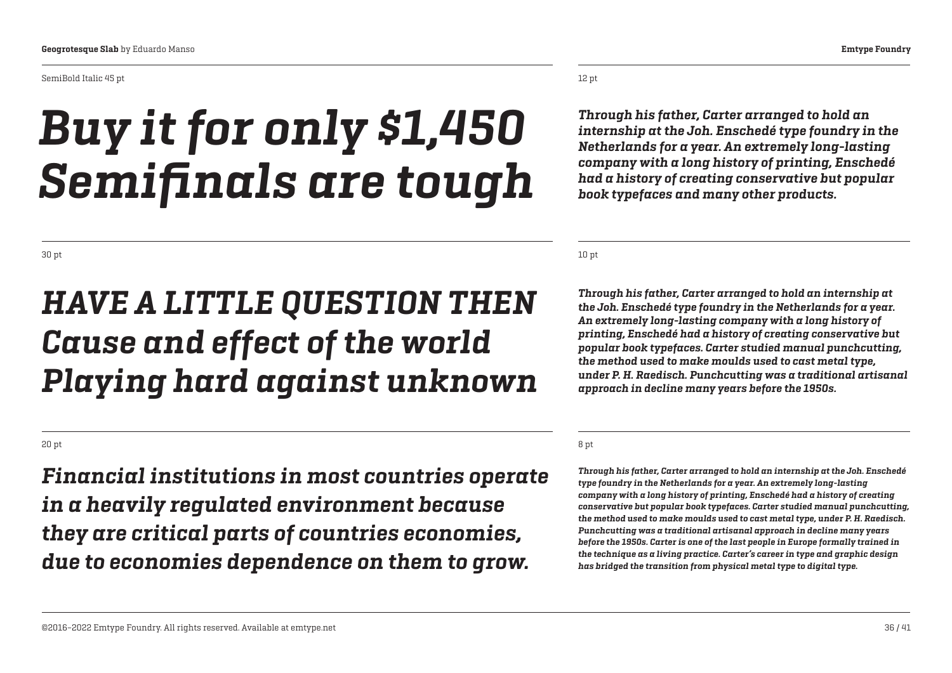#### SemiBold Italic 45 pt

## *Buy it for only \$1,450 Semifinals are tough*

*Through his father, Carter arranged to hold an internship at the Joh. Enschedé type foundry in the Netherlands for a year. An extremely long-lasting company with a long history of printing, Enschedé had a history of creating conservative but popular book typefaces and many other products.*

10 pt

*Through his father, Carter arranged to hold an internship at the Joh. Enschedé type foundry in the Netherlands for a year. An extremely long-lasting company with a long history of printing, Enschedé had a history of creating conservative but popular book typefaces. Carter studied manual punchcutting, the method used to make moulds used to cast metal type, under P. H. Raedisch. Punchcutting was a traditional artisanal approach in decline many years before the 1950s.*

#### 8 pt

*Through his father, Carter arranged to hold an internship at the Joh. Enschedé type foundry in the Netherlands for a year. An extremely long-lasting company with a long history of printing, Enschedé had a history of creating conservative but popular book typefaces. Carter studied manual punchcutting, the method used to make moulds used to cast metal type, under P. H. Raedisch. Punchcutting was a traditional artisanal approach in decline many years before the 1950s. Carter is one of the last people in Europe formally trained in the technique as a living practice. Carter's career in type and graphic design has bridged the transition from physical metal type to digital type.*

#### 30 pt

### *HAVE A LITTLE QUESTION THEN Cause and effect of the world Playing hard against unknown*

### 20 pt

*Financial institutions in most countries operate in a heavily regulated environment because they are critical parts of countries economies, due to economies dependence on them to grow.*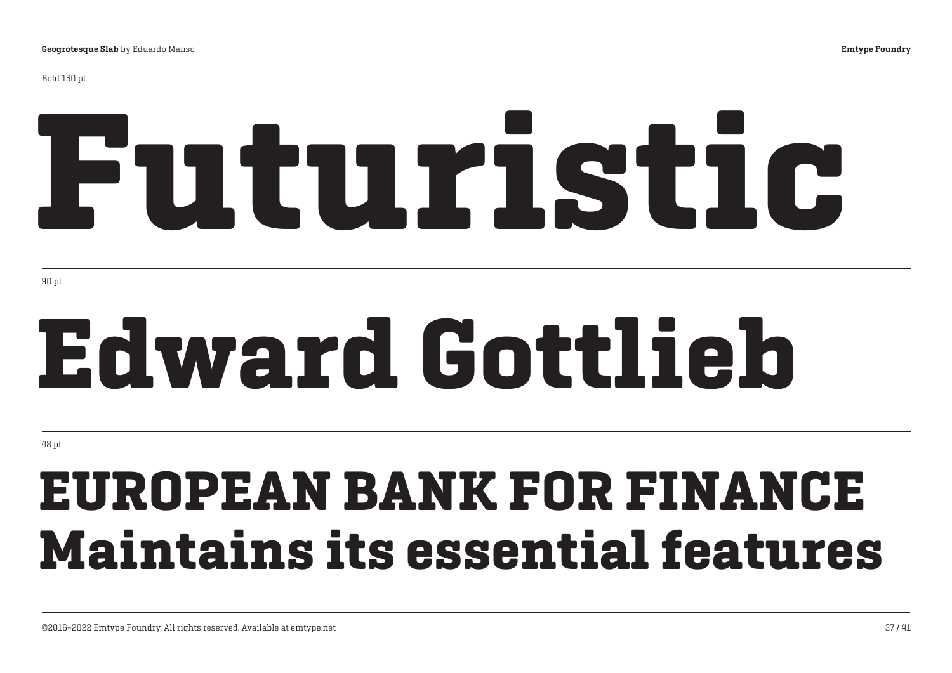# Futuristic

90 pt

# Edward Gottlieb

48 pt

## EUROPEAN BANK FOR FINANCE Maintains its essential features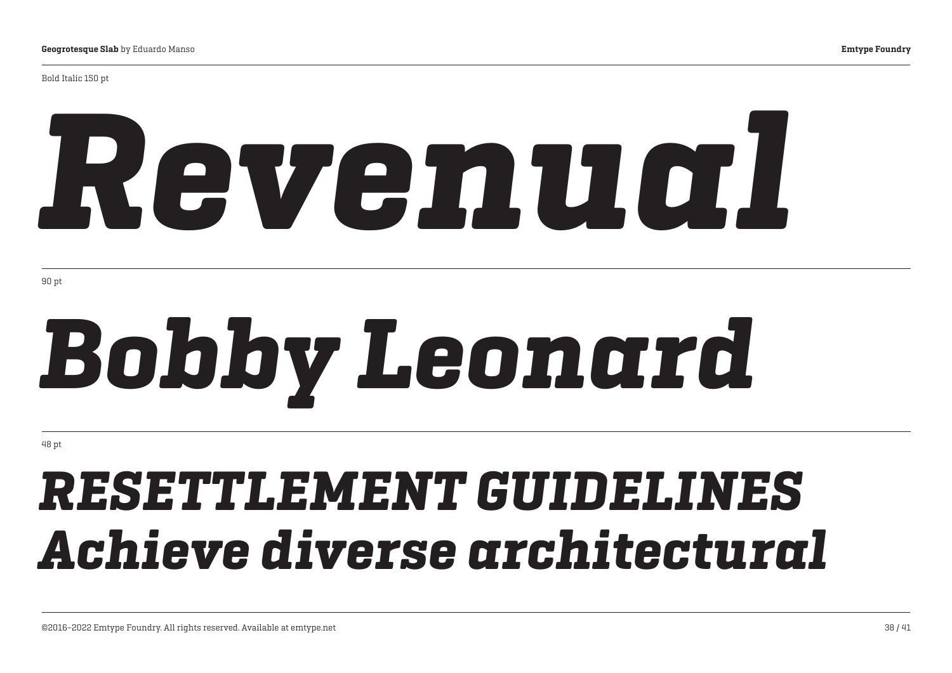Bold Italic 150 pt

# *Revenual*

90 pt

# *Bobby Leonard*

48 pt

## *RESETTLEMENT GUIDELINES Achieve diverse architectural*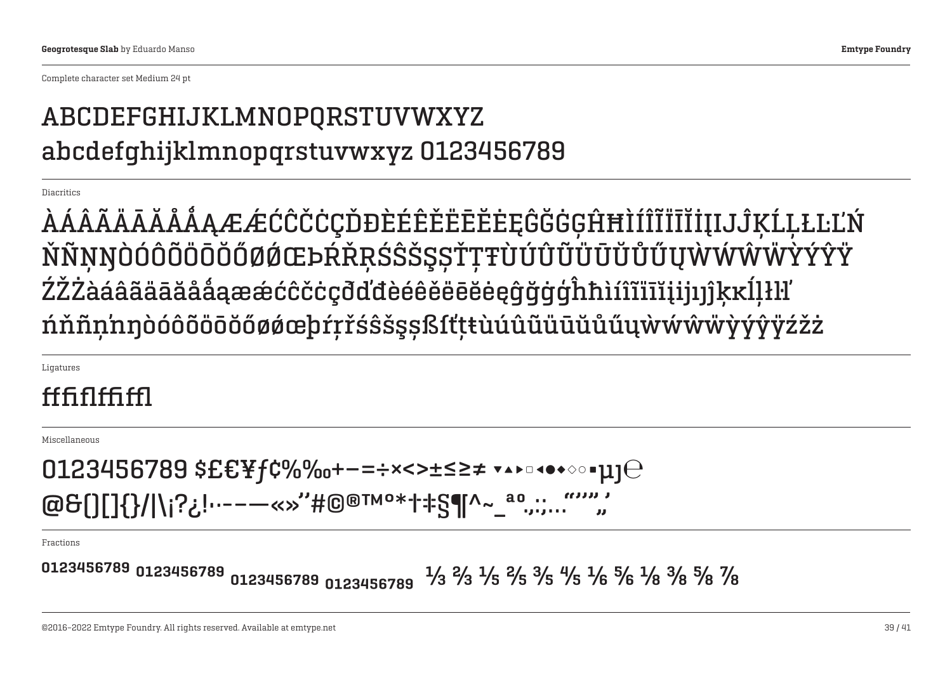Complete character set Medium 24 pt

### ABCDEFGHIJKLMNOPQRSTUVWXYZ abcdefghijklmnopqrstuvwxyz 0123456789

**Diacritics** 

ÀÁÂÃÄĀĂÅǺĄÆǼĆĈČĊÇĎĐÈÉÊĚËĒĔĖĘĜĞĠĢĤĦÌÍÎĨÏĪĬİĮIJĴĶĹĻŁĿĽŃ ŇÑŅŊÒÓÔÕÖÖŐØØŒÞŔŘŖŚŜŠŞSŤŢŦÙÚÛŨŨŨŬŰŰŲŴŴŴŸÝŶŶŸ ŹŽŻàáâãääāååąææćĉčċçđďđèéêěëēĕėęĝğġģĥħìíîĩiīĭįijŋĵkkĺlłŀl ńňñņ'nŋòóôõöōŏőøǿœþŕŗřśŝšşșßſťţŧùúûũüūŭůűųẁẃŵẅỳýŷÿźžż

Ligatures

### fffiflffiffl

Miscellaneous

 $0123456789$  \$£€¥ $f$ ¢%‰+−=÷×<>±≤≥≠ ▼▲▶□◀●◆◇◦ $\mu$ ] $\Theta$ @&()[]{}/|\¡?¿!•·-–—«» ''#©®™°\*†‡§¶^~\_ªº.,:;…"''""'

Fractions

 $0123456789$   $0123456789$   $0123456789$   $0123456789$   $1/3$   $\frac{2}{3}$   $\frac{4}{3}$   $\frac{4}{5}$   $\frac{3}{5}$   $\frac{4}{5}$   $\frac{5}{6}$   $\frac{1}{8}$   $\frac{3}{8}$   $\frac{5}{8}$   $\frac{7}{8}$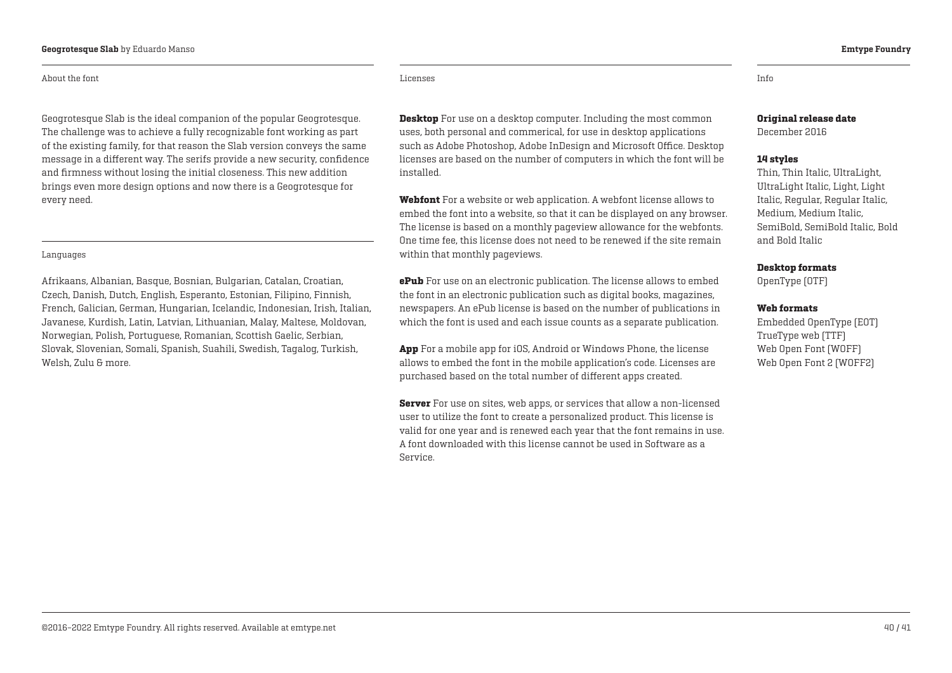#### About the font

Geogrotesque Slab is the ideal companion of the popular Geogrotesque. The challenge was to achieve a fully recognizable font working as part of the existing family, for that reason the Slab version conveys the same message in a different way. The serifs provide a new security, confidence and firmness without losing the initial closeness. This new addition brings even more design options and now there is a Geogrotesque for every need.

#### Languages

Afrikaans, Albanian, Basque, Bosnian, Bulgarian, Catalan, Croatian, Czech, Danish, Dutch, English, Esperanto, Estonian, Filipino, Finnish, French, Galician, German, Hungarian, Icelandic, Indonesian, Irish, Italian, Javanese, Kurdish, Latin, Latvian, Lithuanian, Malay, Maltese, Moldovan, Norwegian, Polish, Portuguese, Romanian, Scottish Gaelic, Serbian, Slovak, Slovenian, Somali, Spanish, Suahili, Swedish, Tagalog, Turkish, Welsh, Zulu & more.

Licenses Info

**Desktop** For use on a desktop computer. Including the most common uses, both personal and commerical, for use in desktop applications such as Adobe Photoshop, Adobe InDesign and Microsoft Office. Desktop licenses are based on the number of computers in which the font will be installed.

Webfont For a website or web application. A webfont license allows to embed the font into a website, so that it can be displayed on any browser. The license is based on a monthly pageview allowance for the webfonts. One time fee, this license does not need to be renewed if the site remain within that monthly pageviews.

**ePub** For use on an electronic publication. The license allows to embed the font in an electronic publication such as digital books, magazines, newspapers. An ePub license is based on the number of publications in which the font is used and each issue counts as a separate publication.

App For a mobile app for iOS, Android or Windows Phone, the license allows to embed the font in the mobile application's code. Licenses are purchased based on the total number of different apps created.

**Server** For use on sites, web apps, or services that allow a non-licensed user to utilize the font to create a personalized product. This license is valid for one year and is renewed each year that the font remains in use. A font downloaded with this license cannot be used in Software as a Service.

### Original release date

December 2016

#### 14 styles

Thin, Thin Italic, UltraLight, UltraLight Italic, Light, Light Italic, Regular, Regular Italic, Medium, Medium Italic, SemiBold, SemiBold Italic, Bold and Bold Italic

#### Desktop formats

OpenType (OTF)

#### Web formats

Embedded OpenType (EOT) TrueType web (TTF) Web Open Font (WOFF) Web Open Font 2 (WOFF2)